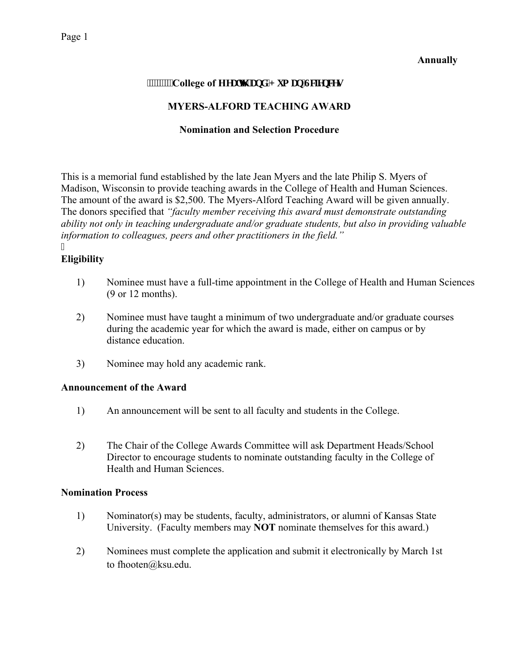#### **Annually**

# **WWWWCollege of Hgcnj 'cpf 'J wo cp'Uelgpegu**

# **MYERS-ALFORD TEACHING AWARD**

## **Nomination and Selection Procedure**

This is a memorial fund established by the late Jean Myers and the late Philip S. Myers of Madison, Wisconsin to provide teaching awards in the College of Health and Human Sciences. The amount of the award is \$2,500. The Myers-Alford Teaching Award will be given annually. The donors specified that *"faculty member receiving this award must demonstrate outstanding ability not only in teaching undergraduate and/or graduate students, but also in providing valuable information to colleagues, peers and other practitioners in the field."*  I

## **Eligibility**

- 1) Nominee must have a full-time appointment in the College of Health and Human Sciences (9 or 12 months).
- 2) Nominee must have taught a minimum of two undergraduate and/or graduate courses during the academic year for which the award is made, either on campus or by distance education.
- 3) Nominee may hold any academic rank.

#### **Announcement of the Award**

- 1) An announcement will be sent to all faculty and students in the College.
- 2) The Chair of the College Awards Committee will ask Department Heads/School Director to encourage students to nominate outstanding faculty in the College of Health and Human Sciences.

#### **Nomination Process**

- 1) Nominator(s) may be students, faculty, administrators, or alumni of Kansas State University. (Faculty members may **NOT** nominate themselves for this award.)
- 2) Nominees must complete the application and submit it electronically by March 1st to fhooten@ksu.edu.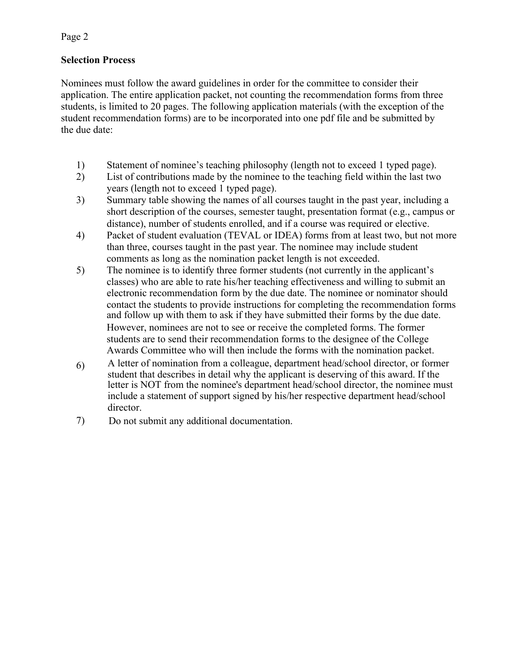Page 2

# **Selection Process**

Nominees must follow the award guidelines in order for the committee to consider their application. The entire application packet, not counting the recommendation forms from three students, is limited to 20 pages. The following application materials (with the exception of the student recommendation forms) are to be incorporated into one pdf file and be submitted by the due date:

- 1) Statement of nominee's teaching philosophy (length not to exceed 1 typed page).
- 2) List of contributions made by the nominee to the teaching field within the last two years (length not to exceed 1 typed page).
- 3) Summary table showing the names of all courses taught in the past year, including a short description of the courses, semester taught, presentation format (e.g., campus or distance), number of students enrolled, and if a course was required or elective.
- 4) Packet of student evaluation (TEVAL or IDEA) forms from at least two, but not more than three, courses taught in the past year. The nominee may include student comments as long as the nomination packet length is not exceeded.
- 5) The nominee is to identify three former students (not currently in the applicant's classes) who are able to rate his/her teaching effectiveness and willing to submit an electronic recommendation form by the due date. The nominee or nominator should contact the students to provide instructions for completing the recommendation forms and follow up with them to ask if they have submitted their forms by the due date. However, nominees are not to see or receive the completed forms. The former students are to send their recommendation forms to the designee of the College Awards Committee who will then include the forms with the nomination packet.
- 6) A letter of nomination from a colleague, department head/school director, or former student that describes in detail why the applicant is deserving of this award. If the letter is NOT from the nominee's department head/school director, the nominee must include a statement of support signed by his/her respective department head/school director.
- 7) Do not submit any additional documentation.